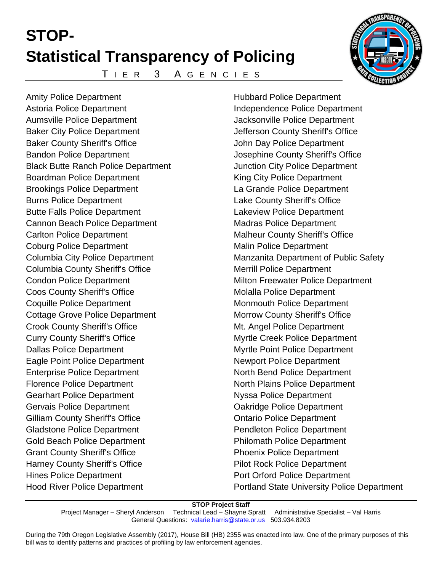

T I E R 3 A G E N C I E S



Amity Police Department Astoria Police Department Aumsville Police Department Baker City Police Department Baker County Sheriff's Office Bandon Police Department Black Butte Ranch Police Department Boardman Police Department Brookings Police Department Burns Police Department Butte Falls Police Department Cannon Beach Police Department Carlton Police Department Coburg Police Department Columbia City Police Department Columbia County Sheriff's Office Condon Police Department Coos County Sheriff's Office Coquille Police Department Cottage Grove Police Department Crook County Sheriff's Office Curry County Sheriff's Office Dallas Police Department Eagle Point Police Department Enterprise Police Department Florence Police Department Gearhart Police Department Gervais Police Department Gilliam County Sheriff's Office Gladstone Police Department Gold Beach Police Department Grant County Sheriff's Office Harney County Sheriff's Office Hines Police Department Hood River Police Department

Hubbard Police Department Independence Police Department Jacksonville Police Department Jefferson County Sheriff's Office John Day Police Department Josephine County Sheriff's Office Junction City Police Department King City Police Department La Grande Police Department Lake County Sheriff's Office Lakeview Police Department Madras Police Department Malheur County Sheriff's Office Malin Police Department Manzanita Department of Public Safety Merrill Police Department Milton Freewater Police Department Molalla Police Department Monmouth Police Department Morrow County Sheriff's Office Mt. Angel Police Department Myrtle Creek Police Department Myrtle Point Police Department Newport Police Department North Bend Police Department North Plains Police Department Nyssa Police Department Oakridge Police Department Ontario Police Department Pendleton Police Department Philomath Police Department Phoenix Police Department Pilot Rock Police Department Port Orford Police Department Portland State University Police Department

## **STOP Project Staff**

Project Manager – Sheryl Anderson Technical Lead – Shayne Spratt Administrative Specialist – Val Harris General Questions: [valarie.harris@state.or.us](mailto:valarie.harris@state.or.us) 503.934.8203

During the 79th Oregon Legislative Assembly (2017), House Bill (HB) 2355 was enacted into law. One of the primary purposes of this bill was to identify patterns and practices of profiling by law enforcement agencies.